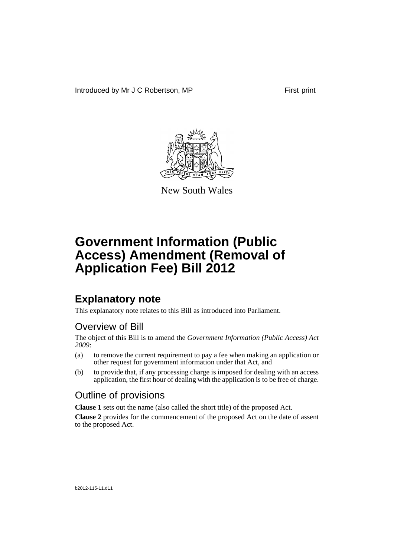Introduced by Mr J C Robertson, MP First print



New South Wales

# **Government Information (Public Access) Amendment (Removal of Application Fee) Bill 2012**

## **Explanatory note**

This explanatory note relates to this Bill as introduced into Parliament.

## Overview of Bill

The object of this Bill is to amend the *Government Information (Public Access) Act 2009*:

- (a) to remove the current requirement to pay a fee when making an application or other request for government information under that Act, and
- (b) to provide that, if any processing charge is imposed for dealing with an access application, the first hour of dealing with the application is to be free of charge.

## Outline of provisions

**Clause 1** sets out the name (also called the short title) of the proposed Act.

**Clause 2** provides for the commencement of the proposed Act on the date of assent to the proposed Act.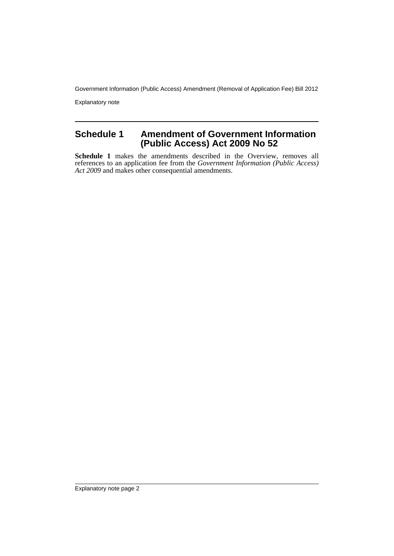Government Information (Public Access) Amendment (Removal of Application Fee) Bill 2012

Explanatory note

### **Schedule 1 Amendment of Government Information (Public Access) Act 2009 No 52**

**Schedule 1** makes the amendments described in the Overview, removes all references to an application fee from the *Government Information (Public Access) Act 2009* and makes other consequential amendments.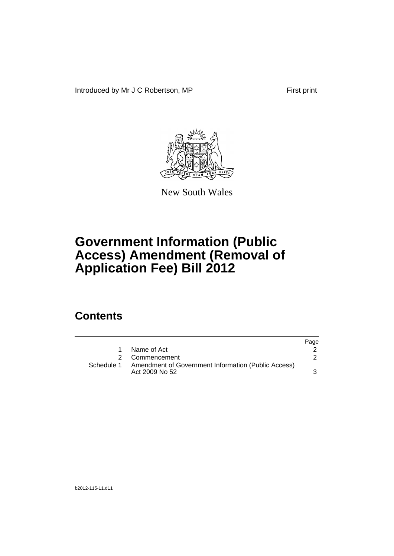Introduced by Mr J C Robertson, MP First print



New South Wales

# **Government Information (Public Access) Amendment (Removal of Application Fee) Bill 2012**

## **Contents**

|            |                                                                       | Page |
|------------|-----------------------------------------------------------------------|------|
|            | Name of Act                                                           |      |
|            | Commencement                                                          |      |
| Schedule 1 | Amendment of Government Information (Public Access)<br>Act 2009 No 52 |      |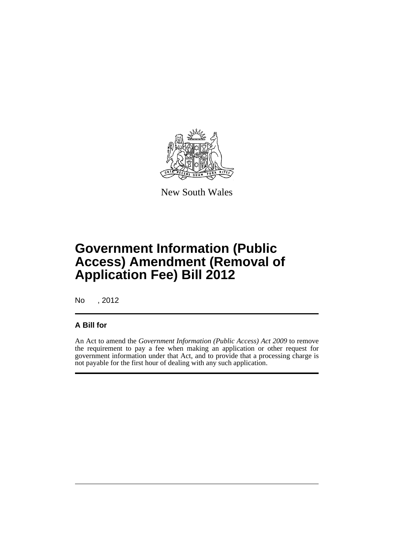

New South Wales

# **Government Information (Public Access) Amendment (Removal of Application Fee) Bill 2012**

No , 2012

#### **A Bill for**

An Act to amend the *Government Information (Public Access) Act 2009* to remove the requirement to pay a fee when making an application or other request for government information under that Act, and to provide that a processing charge is not payable for the first hour of dealing with any such application.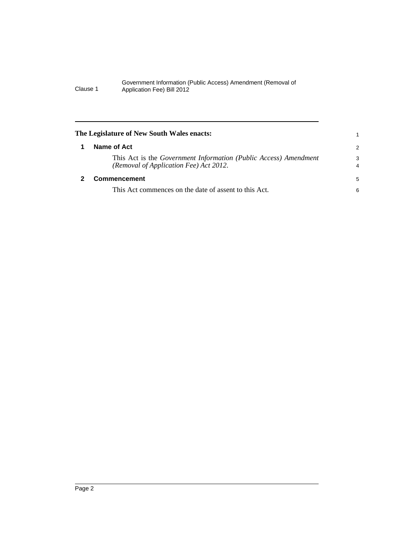#### Government Information (Public Access) Amendment (Removal of Clause 1 Application Fee) Bill 2012

<span id="page-5-1"></span><span id="page-5-0"></span>

| The Legislature of New South Wales enacts:                                                                 |                     |
|------------------------------------------------------------------------------------------------------------|---------------------|
| Name of Act                                                                                                | 2                   |
| This Act is the Government Information (Public Access) Amendment<br>(Removal of Application Fee) Act 2012. | 3<br>$\overline{4}$ |
| Commencement                                                                                               | 5                   |
| This Act commences on the date of assent to this Act.                                                      | 6                   |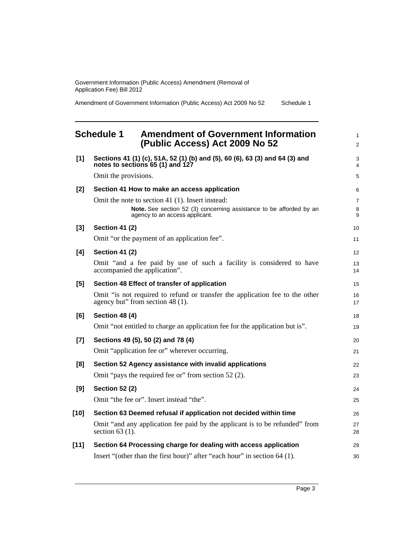Government Information (Public Access) Amendment (Removal of Application Fee) Bill 2012

Amendment of Government Information (Public Access) Act 2009 No 52 Schedule 1

### <span id="page-6-0"></span>**Schedule 1 Amendment of Government Information (Public Access) Act 2009 No 52**

| [1]    | Sections 41 (1) (c), 51A, 52 (1) (b) and (5), 60 (6), 63 (3) and 64 (3) and<br>notes to sections 65 (1) and 127                                           | 3<br>4                   |
|--------|-----------------------------------------------------------------------------------------------------------------------------------------------------------|--------------------------|
|        | Omit the provisions.                                                                                                                                      | 5                        |
| [2]    | Section 41 How to make an access application                                                                                                              | 6                        |
|        | Omit the note to section 41 (1). Insert instead:<br>Note. See section 52 (3) concerning assistance to be afforded by an<br>agency to an access applicant. | $\overline{7}$<br>8<br>9 |
| [3]    | <b>Section 41 (2)</b>                                                                                                                                     | 10                       |
|        | Omit "or the payment of an application fee".                                                                                                              | 11                       |
| [4]    | <b>Section 41 (2)</b>                                                                                                                                     | 12                       |
|        | Omit "and a fee paid by use of such a facility is considered to have<br>accompanied the application".                                                     | 13<br>14                 |
| [5]    | Section 48 Effect of transfer of application                                                                                                              | 15                       |
|        | Omit "is not required to refund or transfer the application fee to the other<br>agency but" from section 48 (1).                                          | 16<br>17                 |
| [6]    | <b>Section 48 (4)</b>                                                                                                                                     | 18                       |
|        | Omit "not entitled to charge an application fee for the application but is".                                                                              | 19                       |
| $[7]$  | Sections 49 (5), 50 (2) and 78 (4)                                                                                                                        | 20                       |
|        | Omit "application fee or" wherever occurring.                                                                                                             | 21                       |
| [8]    | Section 52 Agency assistance with invalid applications                                                                                                    | 22                       |
|        | Omit "pays the required fee or" from section 52 (2).                                                                                                      | 23                       |
| [9]    | <b>Section 52 (2)</b>                                                                                                                                     | 24                       |
|        | Omit "the fee or". Insert instead "the".                                                                                                                  | 25                       |
| $[10]$ | Section 63 Deemed refusal if application not decided within time                                                                                          | 26                       |
|        | Omit "and any application fee paid by the applicant is to be refunded" from<br>section $63$ (1).                                                          | 27<br>28                 |
| $[11]$ | Section 64 Processing charge for dealing with access application                                                                                          | 29                       |
|        | Insert "(other than the first hour)" after "each hour" in section 64 (1).                                                                                 | 30                       |

1 2